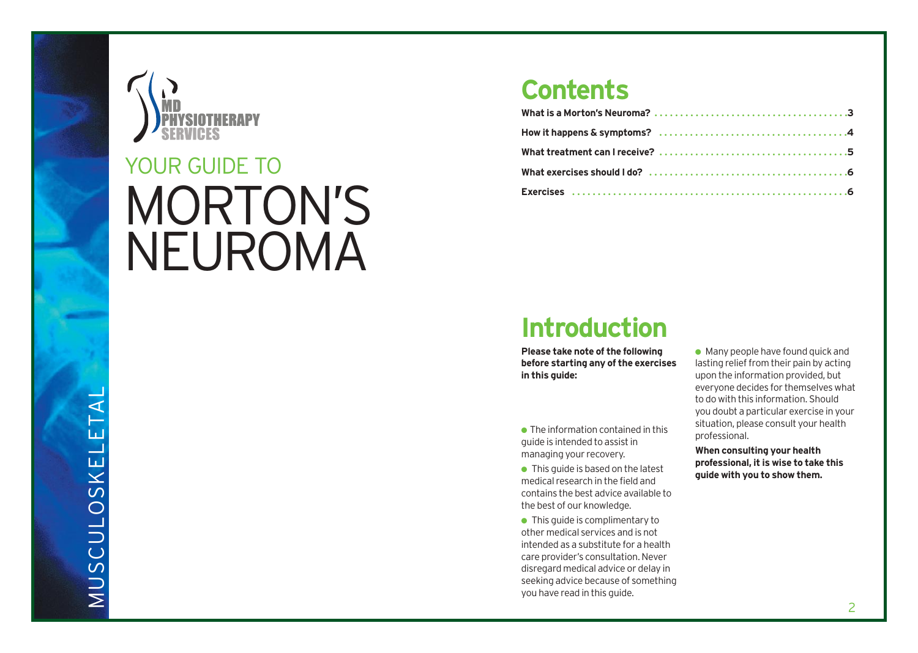

# MORTON'S NEUROMA YOUR GUIDE TO

### **Contents**

### **Introduction**

**Please take note of the following before starting any of the exercises in this guide:**

 $\bullet$  The information contained in this guide is intended to assist in managing your recovery.

 $\bullet$  This guide is based on the latest medical research in the field and contains the best advice available to the best of our knowledge.

● This quide is complimentary to other medical services and is not intended as a substitute for a health care provider's consultation. Never disregard medical advice or delay in seeking advice because of something you have read in this guide.

 $\bullet$  Many people have found quick and lasting relief from their pain by acting upon the information provided, but everyone decides for themselves what to do with this information. Should you doubt a particular exercise in your situation, please consult your health professional.

**When consulting your health professional, it is wise to take this guide with you to show them.**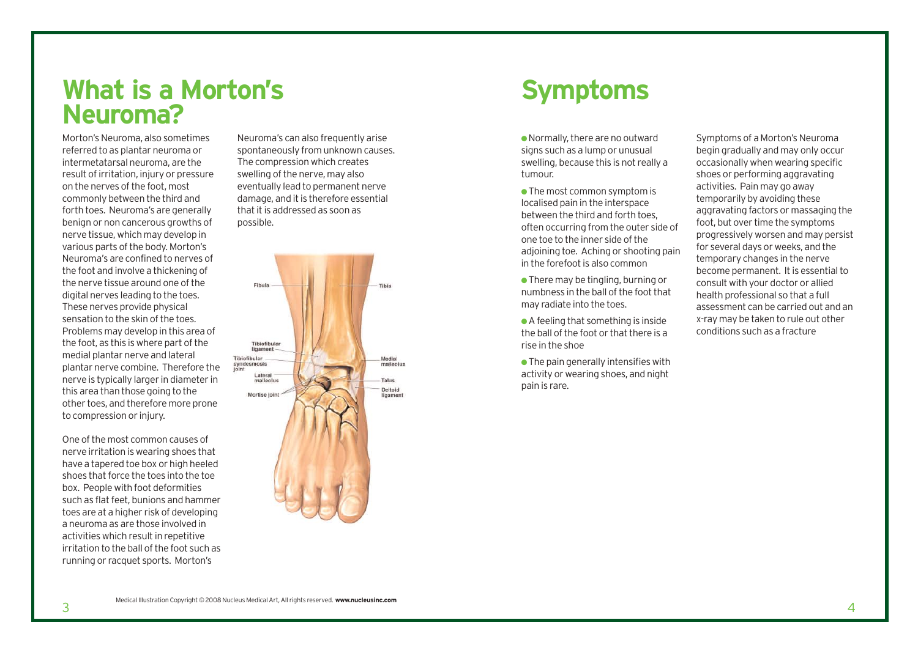### **What is a Morton's Neuroma?**

Morton's Neuroma, also sometimes referred to as plantar neuroma or intermetatarsal neuroma, are the result of irritation, injury or pressure on the nerves of the foot, most commonly between the third and forth toes. Neuroma's are generally benign or non cancerous growths of nerve tissue, which may develop in various parts of the body. Morton's Neuroma's are confined to nerves of the foot and involve a thickening of the nerve tissue around one of the digital nerves leading to the toes. These nerves provide physical sensation to the skin of the toes. Problems may develop in this area of the foot, as this is where part of the medial plantar nerve and lateral plantar nerve combine. Therefore the nerve is typically larger in diameter in this area than those going to the other toes, and therefore more prone to compression or injury.

One of the most common causes of nerve irritation is wearing shoes that have a tapered toe box or high heeled shoes that force the toes into the toe box. People with foot deformities such as flat feet, bunions and hammer toes are at a higher risk of developing a neuroma as are those involved in activities which result in repetitive irritation to the ball of the foot such as running or racquet sports. Morton's

Neuroma's can also frequently arise spontaneously from unknown causes. The compression which creates swelling of the nerve, may also eventually lead to permanent nerve damage, and it is therefore essential that it is addressed as soon as possible.



## **Symptoms**

●Normally, there are no outward signs such as a lump or unusual swelling, because this is not really a tumour.

● The most common symptom is localised pain in the interspace between the third and forth toes, often occurring from the outer side of one toe to the inner side of the adioining toe. Aching or shooting pain in the forefoot is also common

● There may be tingling, burning or numbness in the ball of the foot that may radiate into the toes.

 $\bullet$  A feeling that something is inside the ball of the foot or that there is a rise in the shoe

 $\bullet$  The pain generally intensifies with activity or wearing shoes, and night pain is rare.

Symptoms of a Morton's Neuroma begin gradually and may only occur occasionally when wearing specific shoes or performing aggravating activities. Pain may go away temporarily by avoiding these aggravating factors or massaging the foot, but over time the symptoms progressively worsen and may persist for several days or weeks, and the temporary changes in the nerve become permanent. It is essential to consult with your doctor or allied health professional so that a full assessment can be carried out and an x-ray may be taken to rule out other conditions such as a fracture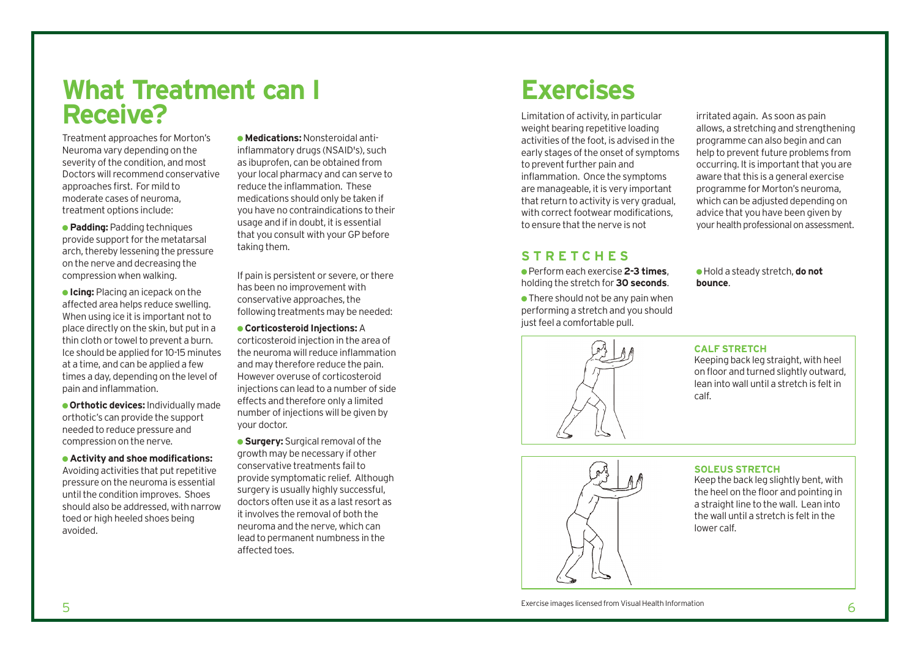### **What Treatment can I Receive?**

Treatment approaches for Morton's Neuroma vary depending on the severity of the condition, and most Doctors will recommend conservative approaches first. For mild to moderate cases of neuroma, treatment options include:

● **Padding:** Padding techniques provide support for the metatarsal arch, thereby lessening the pressure on the nerve and decreasing the compression when walking.

● **Icing:** Placing an icepack on the affected area helps reduce swelling. When using ice it is important not to place directly on the skin, but put in a thin cloth or towel to prevent a burn. Ice should be applied for 10-15 minutes at a time, and can be applied a few times a day, depending on the level of pain and inflammation.

**• Orthotic devices:** Individually made orthotic's can provide the support needed to reduce pressure and compression on the nerve.

● **Activity and shoe modifications:** Avoiding activities that put repetitive pressure on the neuroma is essential until the condition improves. Shoes should also be addressed, with narrow toed or high heeled shoes being avoided.

● **Medications:**Nonsteroidal antiinflammatory drugs (NSAID's), such as ibuprofen, can be obtained from your local pharmacy and can serve to reduce the inflammation. These medications should only be taken if you have no contraindications to their usage and if in doubt, it is essential that you consult with your GP before taking them.

If pain is persistent or severe, or there has been no improvement with conservative approaches, the following treatments may be needed:

● **Corticosteroid Injections:**A

corticosteroid injection in the area of the neuroma will reduce inflammation and may therefore reduce the pain. However overuse of corticosteroid injections can lead to a number of side effects and therefore only a limited number of injections will be given by your doctor.

● **Surgery:** Surgical removal of the growth may be necessary if other conservative treatments fail to provide symptomatic relief. Although surgery is usually highly successful, doctors often use it as a last resort as it involves the removal of both the neuroma and the nerve, which can lead to permanent numbness in the affected toes.

### **Exercises**

Limitation of activity, in particular weight bearing repetitive loading activities of the foot, is advised in the early stages of the onset of symptoms to prevent further pain and inflammation. Once the symptoms are manageable, it is very important that return to activity is very gradual, with correct footwear modifications, to ensure that the nerve is not

irritated again. As soon as pain allows, a stretching and strengthening programme can also begin and can help to prevent future problems from occurring. It is important that you are aware that this is a general exercise programme for Morton's neuroma, which can be adjusted depending on advice that you have been given by your health professional on assessment.

### **STRETCHES**

● Perform each exercise **2-3 times**, holding the stretch for **30 seconds**.

 $\bullet$  There should not be any pain when performing a stretch and you should just feel a comfortable pull.



**CALF STRETCH** 

**bounce**.

Keeping back leg straight, with heel on floor and turned slightly outward, lean into wall until a stretch is felt in calf.

● Hold a steady stretch, **do not**



#### **SOLEUS STRETCH**

Keep the back leg slightly bent, with the heel on the floor and pointing in a straight line to the wall. Lean into the wall until a stretch is felt in the lower calf.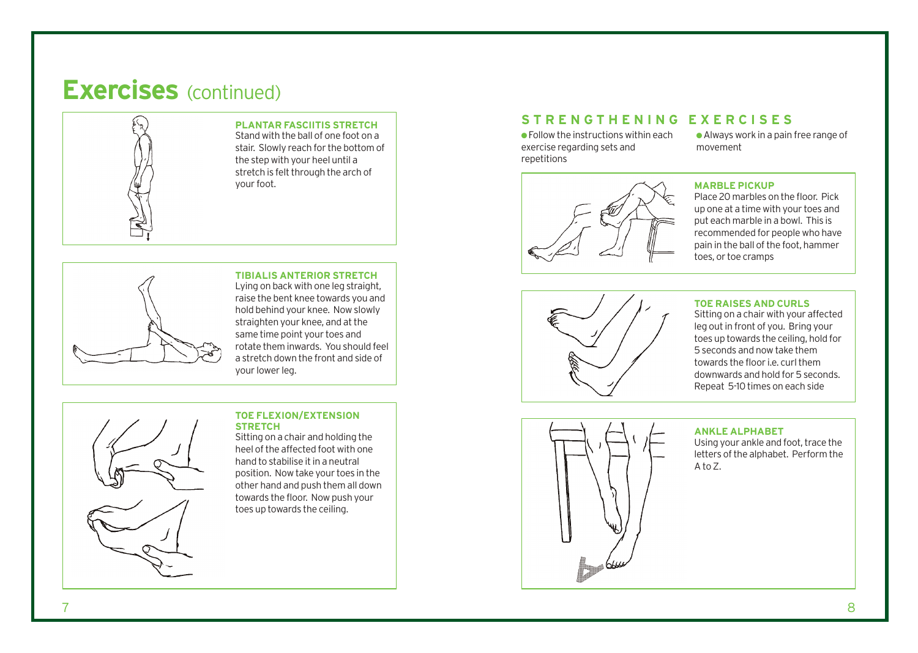### **Exercises** (continued)



#### **PLANTAR FASCIITIS STRETCH**

Stand with the ball of one foot on a stair. Slowly reach for the bottom of the step with your heel until a stretch is felt through the arch of



**TIBIALIS ANTERIOR STRETCH**  Lying on back with one leg straight, raise the bent knee towards you and hold behind your knee. Now slowly straighten your knee, and at the same time point your toes and rotate them inwards. You should feel a stretch down the front and side of your lower leg.



#### **TOE FLEXION/EXTENSION STRETCH**

Sitting on a chair and holding the heel of the affected foot with one hand to stabilise it in a neutral position. Now take your toes in the other hand and push them all down towards the floor. Now push your toes up towards the ceiling.

### **STRENGTHENING EXERCISES**

 $\bullet$  Follow the instructions within each exercise regarding sets and repetitions

●Always work in a pain free range of movement



Place 20 marbles on the floor. Pick up one at a time with your toes and put each marble in a bowl. This is recommended for people who have pain in the ball of the foot, hammer toes, or toe cramps



#### **TOE RAISES AND CURLS**

Sitting on a chair with your affected leg out in front of you. Bring your toes up towards the ceiling, hold for 5 seconds and now take them towards the floor i.e. curl them downwards and hold for 5 seconds. Repeat 5-10 times on each side



#### **ANKLE ALPHABET**

Using your ankle and foot, trace the letters of the alphabet. Perform the  $A$  to  $Z$ .